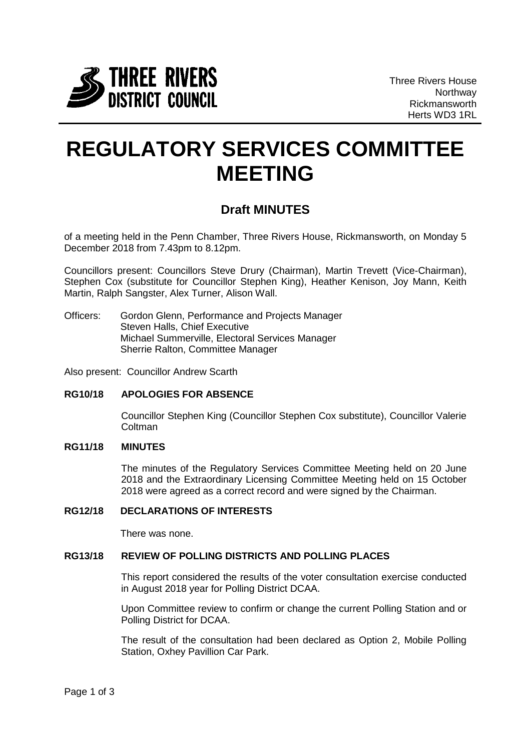

# **REGULATORY SERVICES COMMITTEE MEETING**

# **Draft MINUTES**

of a meeting held in the Penn Chamber, Three Rivers House, Rickmansworth, on Monday 5 December 2018 from 7.43pm to 8.12pm.

Councillors present: Councillors Steve Drury (Chairman), Martin Trevett (Vice-Chairman), Stephen Cox (substitute for Councillor Stephen King), Heather Kenison, Joy Mann, Keith Martin, Ralph Sangster, Alex Turner, Alison Wall.

Officers: Gordon Glenn, Performance and Projects Manager Steven Halls, Chief Executive Michael Summerville, Electoral Services Manager Sherrie Ralton, Committee Manager

Also present: Councillor Andrew Scarth

# **RG10/18 APOLOGIES FOR ABSENCE**

Councillor Stephen King (Councillor Stephen Cox substitute), Councillor Valerie **Coltman** 

# **RG11/18 MINUTES**

The minutes of the Regulatory Services Committee Meeting held on 20 June 2018 and the Extraordinary Licensing Committee Meeting held on 15 October 2018 were agreed as a correct record and were signed by the Chairman.

# **RG12/18 DECLARATIONS OF INTERESTS**

There was none.

# **RG13/18 REVIEW OF POLLING DISTRICTS AND POLLING PLACES**

This report considered the results of the voter consultation exercise conducted in August 2018 year for Polling District DCAA.

Upon Committee review to confirm or change the current Polling Station and or Polling District for DCAA.

The result of the consultation had been declared as Option 2, Mobile Polling Station, Oxhey Pavillion Car Park.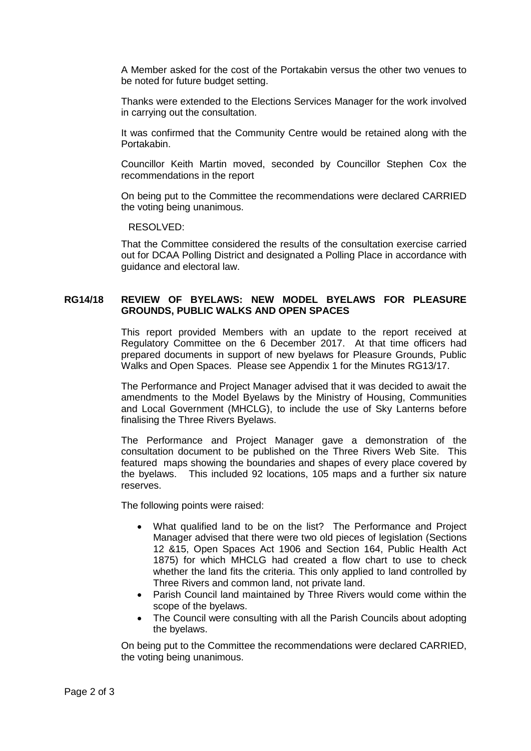A Member asked for the cost of the Portakabin versus the other two venues to be noted for future budget setting.

Thanks were extended to the Elections Services Manager for the work involved in carrying out the consultation.

It was confirmed that the Community Centre would be retained along with the Portakabin.

Councillor Keith Martin moved, seconded by Councillor Stephen Cox the recommendations in the report

On being put to the Committee the recommendations were declared CARRIED the voting being unanimous.

RESOLVED:

That the Committee considered the results of the consultation exercise carried out for DCAA Polling District and designated a Polling Place in accordance with guidance and electoral law.

# **RG14/18 REVIEW OF BYELAWS: NEW MODEL BYELAWS FOR PLEASURE GROUNDS, PUBLIC WALKS AND OPEN SPACES**

This report provided Members with an update to the report received at Regulatory Committee on the 6 December 2017. At that time officers had prepared documents in support of new byelaws for Pleasure Grounds, Public Walks and Open Spaces. Please see Appendix 1 for the Minutes RG13/17.

The Performance and Project Manager advised that it was decided to await the amendments to the Model Byelaws by the Ministry of Housing, Communities and Local Government (MHCLG), to include the use of Sky Lanterns before finalising the Three Rivers Byelaws.

The Performance and Project Manager gave a demonstration of the consultation document to be published on the Three Rivers Web Site. This featured maps showing the boundaries and shapes of every place covered by the byelaws. This included 92 locations, 105 maps and a further six nature reserves.

The following points were raised:

- What qualified land to be on the list? The Performance and Project Manager advised that there were two old pieces of legislation (Sections 12 &15, Open Spaces Act 1906 and Section 164, Public Health Act 1875) for which MHCLG had created a flow chart to use to check whether the land fits the criteria. This only applied to land controlled by Three Rivers and common land, not private land.
- Parish Council land maintained by Three Rivers would come within the scope of the byelaws.
- The Council were consulting with all the Parish Councils about adopting the byelaws.

On being put to the Committee the recommendations were declared CARRIED, the voting being unanimous.